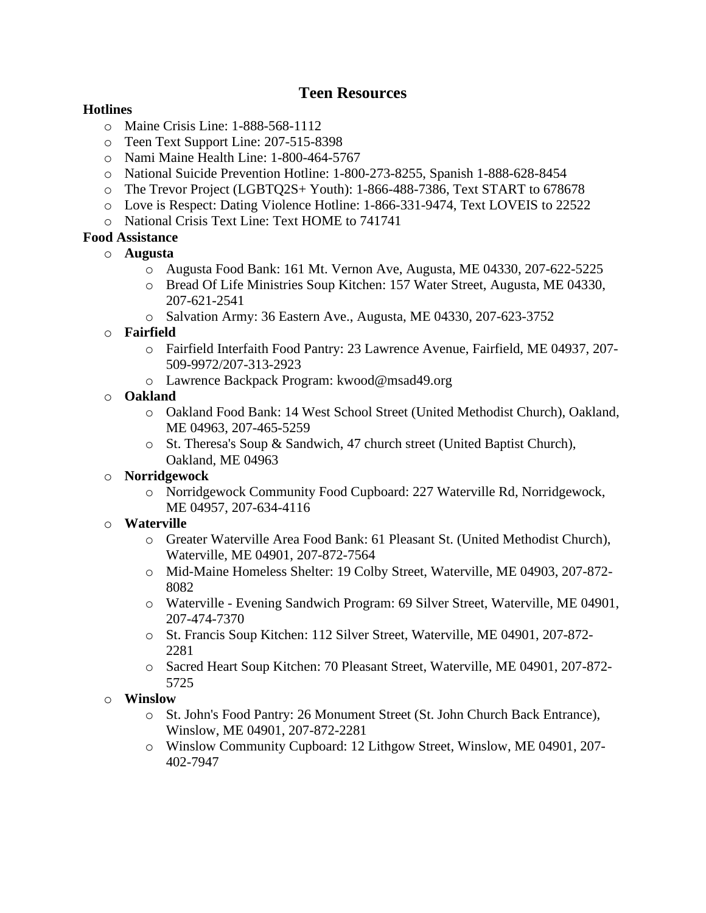## **Teen Resources**

#### **Hotlines**

- o Maine Crisis Line: 1-888-568-1112
- o Teen Text Support Line: 207-515-8398
- o Nami Maine Health Line: 1-800-464-5767
- o National Suicide Prevention Hotline: 1-800-273-8255, Spanish 1-888-628-8454
- o The Trevor Project (LGBTQ2S+ Youth): 1-866-488-7386, Text START to 678678
- o Love is Respect: Dating Violence Hotline: 1-866-331-9474, Text LOVEIS to 22522
- o National Crisis Text Line: Text HOME to 741741

## **Food Assistance**

- o **Augusta**
	- o Augusta Food Bank: 161 Mt. Vernon Ave, Augusta, ME 04330, 207-622-5225
	- o Bread Of Life Ministries Soup Kitchen: 157 Water Street, Augusta, ME 04330, 207-621-2541
	- o Salvation Army: 36 Eastern Ave., Augusta, ME 04330, 207-623-3752

#### o **Fairfield**

- o Fairfield Interfaith Food Pantry: 23 Lawrence Avenue, Fairfield, ME 04937, 207- 509-9972/207-313-2923
- o Lawrence Backpack Program: kwood@msad49.org

#### o **Oakland**

- o Oakland Food Bank: 14 West School Street (United Methodist Church), Oakland, ME 04963, 207-465-5259
- o St. Theresa's Soup & Sandwich, 47 church street (United Baptist Church), Oakland, ME 04963

## o **Norridgewock**

o Norridgewock Community Food Cupboard: 227 Waterville Rd, Norridgewock, ME 04957, 207-634-4116

## o **Waterville**

- o Greater Waterville Area Food Bank: 61 Pleasant St. (United Methodist Church), Waterville, ME 04901, 207-872-7564
- o Mid-Maine Homeless Shelter: 19 Colby Street, Waterville, ME 04903, 207-872- 8082
- o Waterville Evening Sandwich Program: 69 Silver Street, Waterville, ME 04901, 207-474-7370
- o St. Francis Soup Kitchen: 112 Silver Street, Waterville, ME 04901, 207-872- 2281
- o Sacred Heart Soup Kitchen: 70 Pleasant Street, Waterville, ME 04901, 207-872- 5725

## o **Winslow**

- o St. John's Food Pantry: 26 Monument Street (St. John Church Back Entrance), Winslow, ME 04901, 207-872-2281
- o Winslow Community Cupboard: 12 Lithgow Street, Winslow, ME 04901, 207- 402-7947